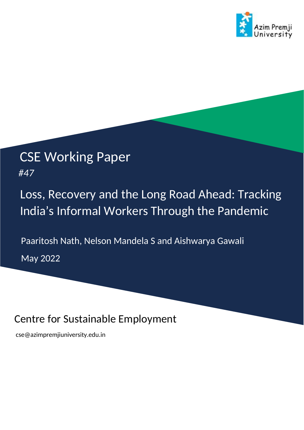

# CSE Working Paper

*#47*

# Loss, Recovery and the Long Road Ahead: Tracking India's Informal Workers Through the Pandemic

Paaritosh Nath, Nelson Mandela S and Aishwarya Gawali

May 2022

# Centre for Sustainable Employment

[cse@azimpremjiuniversity.edu.in](mailto:cse@azimpremjiuniversity.edu.in)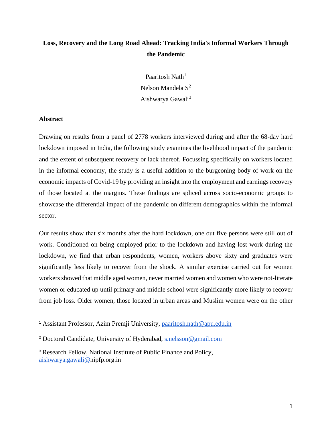### **Loss, Recovery and the Long Road Ahead: Tracking India's Informal Workers Through the Pandemic**

Paaritosh Nath<sup>1</sup> Nelson Mandela  $S^2$ Aishwarya Gawali<sup>3</sup>

#### **Abstract**

Drawing on results from a panel of 2778 workers interviewed during and after the 68-day hard lockdown imposed in India, the following study examines the livelihood impact of the pandemic and the extent of subsequent recovery or lack thereof. Focussing specifically on workers located in the informal economy, the study is a useful addition to the burgeoning body of work on the economic impacts of Covid-19 by providing an insight into the employment and earnings recovery of those located at the margins. These findings are spliced across socio-economic groups to showcase the differential impact of the pandemic on different demographics within the informal sector.

Our results show that six months after the hard lockdown, one out five persons were still out of work. Conditioned on being employed prior to the lockdown and having lost work during the lockdown, we find that urban respondents, women, workers above sixty and graduates were significantly less likely to recover from the shock. A similar exercise carried out for women workers showed that middle aged women, never married women and women who were not-literate women or educated up until primary and middle school were significantly more likely to recover from job loss. Older women, those located in urban areas and Muslim women were on the other

<sup>1</sup> Assistant Professor, Azim Premji University, [paaritosh.nath@apu.edu.in](mailto:paaritosh.nath@apu.edu.in)

<sup>2</sup> Doctoral Candidate, University of Hyderabad, [s.nelsson@gmail.com](mailto:s.nelsson@gmail.com)

<sup>3</sup> Research Fellow, National Institute of Public Finance and Policy, [aishwarya.gawali@n](mailto:aishwarya.gawali@gmail.com)ipfp.org.in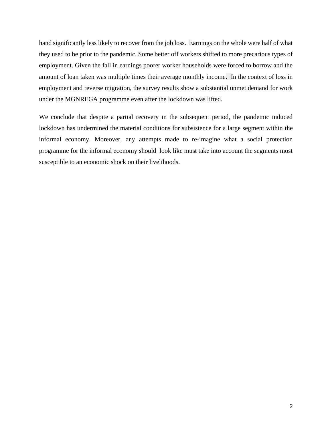hand significantly less likely to recover from the job loss. Earnings on the whole were half of what they used to be prior to the pandemic. Some better off workers shifted to more precarious types of employment. Given the fall in earnings poorer worker households were forced to borrow and the amount of loan taken was multiple times their average monthly income. In the context of loss in employment and reverse migration, the survey results show a substantial unmet demand for work under the MGNREGA programme even after the lockdown was lifted.

We conclude that despite a partial recovery in the subsequent period, the pandemic induced lockdown has undermined the material conditions for subsistence for a large segment within the informal economy. Moreover, any attempts made to re-imagine what a social protection programme for the informal economy should look like must take into account the segments most susceptible to an economic shock on their livelihoods.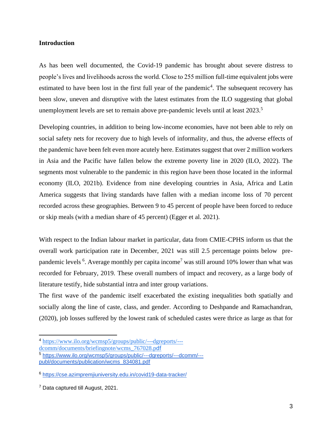#### **Introduction**

As has been well documented, the Covid-19 pandemic has brought about severe distress to people's lives and livelihoods across the world. Close to 255 million full-time equivalent jobs were estimated to have been lost in the first full year of the pandemic<sup>4</sup>. The subsequent recovery has been slow, uneven and disruptive with the latest estimates from the ILO suggesting that global unemployment levels are set to remain above pre-pandemic levels until at least 2023.<sup>5</sup>

Developing countries, in addition to being low-income economies, have not been able to rely on social safety nets for recovery due to high levels of informality, and thus, the adverse effects of the pandemic have been felt even more acutely here. Estimates suggest that over 2 million workers in Asia and the Pacific have fallen below the extreme poverty line in 2020 (ILO, 2022). The segments most vulnerable to the pandemic in this region have been those located in the informal economy (ILO, 2021b). Evidence from nine developing countries in Asia, Africa and Latin America suggests that living standards have fallen with a median income loss of 70 percent recorded across these geographies. Between 9 to 45 percent of people have been forced to reduce or skip meals (with a median share of 45 percent) [\(Egger et al. 2021\).](https://www.zotero.org/google-docs/?lUcxge)

With respect to the Indian labour market in particular, data from CMIE-CPHS inform us that the overall work participation rate in December, 2021 was still 2.5 percentage points below prepandemic levels  $6$ . Average monthly per capita income<sup>7</sup> was still around 10% lower than what was recorded for February, 2019. These overall numbers of impact and recovery, as a large body of literature testify, hide substantial intra and inter group variations.

The first wave of the pandemic itself exacerbated the existing inequalities both spatially and socially along the line of caste, class, and gender. According to Deshpande and Ramachandran, (2020), job losses suffered by the lowest rank of scheduled castes were thrice as large as that for

<sup>4</sup> [https://www.ilo.org/wcmsp5/groups/public/---dgreports/---](https://www.ilo.org/wcmsp5/groups/public/---dgreports/---dcomm/documents/briefingnote/wcms_767028.pdf)

[dcomm/documents/briefingnote/wcms\\_767028.p](https://www.ilo.org/wcmsp5/groups/public/---dgreports/---dcomm/documents/briefingnote/wcms_767028.pdf)[df](https://www.ilo.org/wcmsp5/groups/public/---dgreports/---dcomm/documents/briefingnote/wcms_767028.pdf)

<sup>5</sup> [https://www.ilo.org/wcmsp5/groups/public/---dgreports/---dcomm/--](https://www.ilo.org/wcmsp5/groups/public/---dgreports/---dcomm/---publ/documents/publication/wcms_834081.pdf) [publ/documents/publication/wcms\\_834081.pdf](https://www.ilo.org/wcmsp5/groups/public/---dgreports/---dcomm/---publ/documents/publication/wcms_834081.pdf)

<sup>6</sup> <https://cse.azimpremjiuniversity.edu.in/covid19-data-tracker/>

<sup>7</sup> Data captured till August, 2021.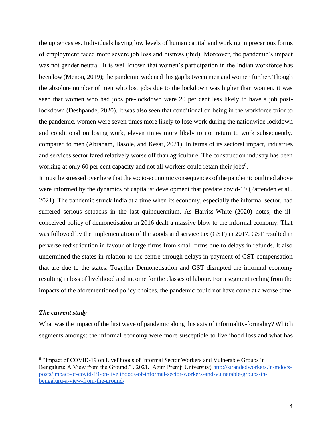the upper castes. Individuals having low levels of human capital and working in precarious forms of employment faced more severe job loss and distress (ibid). Moreover, the pandemic's impact was not gender neutral. It is well known that women's participation in the Indian workforce has been low (Menon, 2019); the pandemic widened this gap between men and women further. Though the absolute number of men who lost jobs due to the lockdown was higher than women, it was seen that women who had jobs pre-lockdown were 20 per cent less likely to have a job postlockdown (Deshpande, 2020). It was also seen that conditional on being in the workforce prior to the pandemic, women were seven times more likely to lose work during the nationwide lockdown and conditional on losing work, eleven times more likely to not return to work subsequently, compared to men (Abraham, Basole, and Kesar, 2021). In terms of its sectoral impact, industries and services sector fared relatively worse off than agriculture. The construction industry has been working at only 60 per cent capacity and not all workers could retain their jobs<sup>8</sup>.

It must be stressed over here that the socio-economic consequences of the pandemic outlined above were informed by the dynamics of capitalist development that predate covid-19 (Pattenden et al., 2021). The pandemic struck India at a time when its economy, especially the informal sector, had suffered serious setbacks in the last quinquennium. As Harriss-White (2020) notes, the illconceived policy of demonetisation in 2016 dealt a massive blow to the informal economy. That was followed by the implementation of the goods and service tax (GST) in 2017. GST resulted in perverse redistribution in favour of large firms from small firms due to delays in refunds. It also undermined the states in relation to the centre through delays in payment of GST compensation that are due to the states. Together Demonetisation and GST disrupted the informal economy resulting in loss of livelihood and income for the classes of labour. For a segment reeling from the impacts of the aforementioned policy choices, the pandemic could not have come at a worse time.

#### *The current study*

What was the impact of the first wave of pandemic along this axis of informality-formality? Which segments amongst the informal economy were more susceptible to livelihood loss and what has

<sup>&</sup>lt;sup>8</sup> "Impact of COVID-19 on Livelihoods of Informal Sector Workers and Vulnerable Groups in Bengaluru: A View from the Ground.", 2021, Azim Premji University) [http://strandedworkers.in/mdocs](http://strandedworkers.in/mdocs-posts/impact-of-covid-19-on-livelihoods-of-informal-sector-workers-and-vulnerable-groups-in-bengaluru-a-view-from-the-ground/)[posts/impact-of-covid-19-on-livelihoods-of-informal-sector-workers-and-vulnerable-groups-in](http://strandedworkers.in/mdocs-posts/impact-of-covid-19-on-livelihoods-of-informal-sector-workers-and-vulnerable-groups-in-bengaluru-a-view-from-the-ground/)[bengaluru-a-view-from-the-ground/](http://strandedworkers.in/mdocs-posts/impact-of-covid-19-on-livelihoods-of-informal-sector-workers-and-vulnerable-groups-in-bengaluru-a-view-from-the-ground/)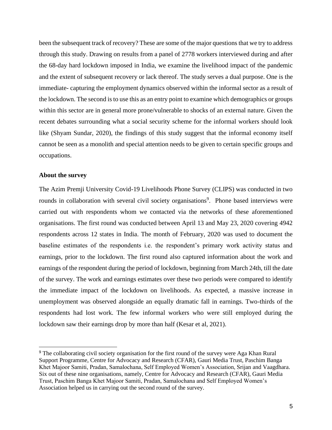been the subsequent track of recovery? These are some of the major questions that we try to address through this study. Drawing on results from a panel of 2778 workers interviewed during and after the 68-day hard lockdown imposed in India, we examine the livelihood impact of the pandemic and the extent of subsequent recovery or lack thereof. The study serves a dual purpose. One is the immediate- capturing the employment dynamics observed within the informal sector as a result of the lockdown. The second is to use this as an entry point to examine which demographics or groups within this sector are in general more prone/vulnerable to shocks of an external nature. Given the recent debates surrounding what a social security scheme for the informal workers should look like (Shyam Sundar, 2020), the findings of this study suggest that the informal economy itself cannot be seen as a monolith and special attention needs to be given to certain specific groups and occupations.

#### **About the survey**

The Azim Premji University Covid-19 Livelihoods Phone Survey (CLIPS) was conducted in two rounds in collaboration with several civil society organisations<sup>9</sup>. Phone based interviews were carried out with respondents whom we contacted via the networks of these aforementioned organisations. The first round was conducted between April 13 and May 23, 2020 covering 4942 respondents across 12 states in India. The month of February, 2020 was used to document the baseline estimates of the respondents i.e. the respondent's primary work activity status and earnings, prior to the lockdown. The first round also captured information about the work and earnings of the respondent during the period of lockdown, beginning from March 24th, till the date of the survey. The work and earnings estimates over these two periods were compared to identify the immediate impact of the lockdown on livelihoods. As expected, a massive increase in unemployment was observed alongside an equally dramatic fall in earnings. Two-thirds of the respondents had lost work. The few informal workers who were still employed during the lockdown saw their earnings drop by more than half (Kesar et al, 2021).

<sup>&</sup>lt;sup>9</sup> The collaborating civil society organisation for the first round of the survey were Aga Khan Rural Support Programme, Centre for Advocacy and Research (CFAR), Gauri Media Trust, Paschim Banga Khet Majoor Samiti, Pradan, Samalochana, Self Employed Women's Association, Srijan and Vaagdhara. Six out of these nine organisations, namely, Centre for Advocacy and Research (CFAR), Gauri Media Trust, Paschim Banga Khet Majoor Samiti, Pradan, Samalochana and Self Employed Women's Association helped us in carrying out the second round of the survey.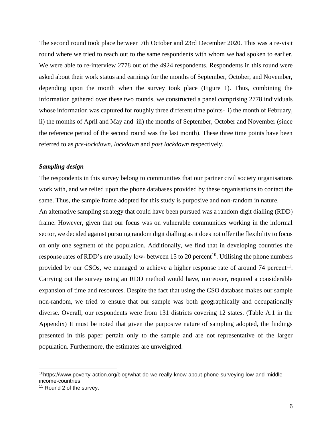The second round took place between 7th October and 23rd December 2020. This was a re-visit round where we tried to reach out to the same respondents with whom we had spoken to earlier. We were able to re-interview 2778 out of the 4924 respondents. Respondents in this round were asked about their work status and earnings for the months of September, October, and November, depending upon the month when the survey took place (Figure 1). Thus, combining the information gathered over these two rounds, we constructed a panel comprising 2778 individuals whose information was captured for roughly three different time points- i) the month of February, ii) the months of April and May and iii) the months of September, October and November (since the reference period of the second round was the last month). These three time points have been referred to as *pre-lockdown, lockdown* and *post lockdown* respectively.

#### *Sampling design*

The respondents in this survey belong to communities that our partner civil society organisations work with, and we relied upon the phone databases provided by these organisations to contact the same. Thus, the sample frame adopted for this study is purposive and non-random in nature.

An alternative sampling strategy that could have been pursued was a random digit dialling (RDD) frame. However, given that our focus was on vulnerable communities working in the informal sector, we decided against pursuing random digit dialling as it does not offer the flexibility to focus on only one segment of the population. Additionally, we find that in developing countries the response rates of RDD's are usually low- between 15 to 20 percent<sup>10</sup>. Utilising the phone numbers provided by our CSOs, we managed to achieve a higher response rate of around 74 percent<sup>11</sup>. Carrying out the survey using an RDD method would have, moreover, required a considerable expansion of time and resources. Despite the fact that using the CSO database makes our sample non-random, we tried to ensure that our sample was both geographically and occupationally diverse. Overall, our respondents were from 131 districts covering 12 states. (Table A.1 in the Appendix) It must be noted that given the purposive nature of sampling adopted, the findings presented in this paper pertain only to the sample and are not representative of the larger population. Furthermore, the estimates are unweighted.

<sup>&</sup>lt;sup>10</sup>https://www.poverty-action.org/blog/what-do-we-really-know-about-phone-surveying-low-and-middleincome-countries

<sup>&</sup>lt;sup>11</sup> Round 2 of the survey.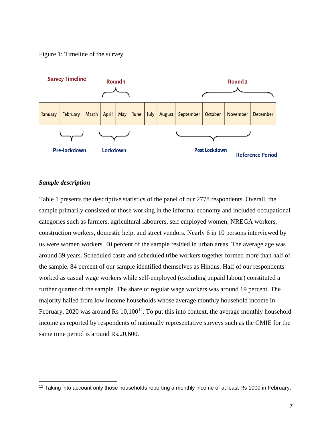#### Figure 1: Timeline of the survey



#### *Sample description*

Table 1 presents the descriptive statistics of the panel of our 2778 respondents. Overall, the sample primarily consisted of those working in the informal economy and included occupational categories such as farmers, agricultural labourers, self employed women, NREGA workers, construction workers, domestic help, and street vendors. Nearly 6 in 10 persons interviewed by us were women workers. 40 percent of the sample resided in urban areas. The average age was around 39 years. Scheduled caste and scheduled tribe workers together formed more than half of the sample. 84 percent of our sample identified themselves as Hindus. Half of our respondents worked as casual wage workers while self-employed (excluding unpaid labour) constituted a further quarter of the sample. The share of regular wage workers was around 19 percent. The majority hailed from low income households whose average monthly household income in February, 2020 was around Rs  $10,100^{12}$ . To put this into context, the average monthly household income as reported by respondents of nationally representative surveys such as the CMIE for the same time period is around Rs.20,600.

 $12$  Taking into account only those households reporting a monthly income of at least Rs 1000 in February.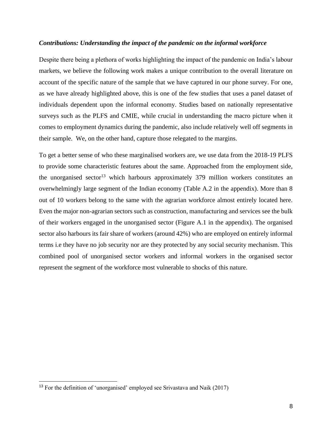#### *Contributions: Understanding the impact of the pandemic on the informal workforce*

Despite there being a plethora of works highlighting the impact of the pandemic on India's labour markets, we believe the following work makes a unique contribution to the overall literature on account of the specific nature of the sample that we have captured in our phone survey. For one, as we have already highlighted above, this is one of the few studies that uses a panel dataset of individuals dependent upon the informal economy. Studies based on nationally representative surveys such as the PLFS and CMIE, while crucial in understanding the macro picture when it comes to employment dynamics during the pandemic, also include relatively well off segments in their sample. We, on the other hand, capture those relegated to the margins.

To get a better sense of who these marginalised workers are, we use data from the 2018-19 PLFS to provide some characteristic features about the same. Approached from the employment side, the unorganised sector<sup>13</sup> which harbours approximately 379 million workers constitutes an overwhelmingly large segment of the Indian economy (Table A.2 in the appendix). More than 8 out of 10 workers belong to the same with the agrarian workforce almost entirely located here. Even the major non-agrarian sectors such as construction, manufacturing and services see the bulk of their workers engaged in the unorganised sector (Figure A.1 in the appendix). The organised sector also harbours its fair share of workers (around 42%) who are employed on entirely informal terms i.e they have no job security nor are they protected by any social security mechanism. This combined pool of unorganised sector workers and informal workers in the organised sector represent the segment of the workforce most vulnerable to shocks of this nature.

<sup>&</sup>lt;sup>13</sup> For the definition of 'unorganised' employed see Srivastava and Naik  $(2017)$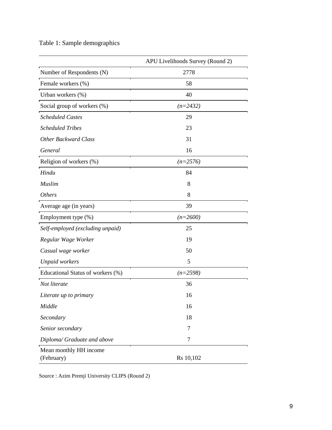Table 1: Sample demographics

|                                      | APU Livelihoods Survey (Round 2) |
|--------------------------------------|----------------------------------|
| Number of Respondents (N)            | 2778                             |
| Female workers (%)                   | 58                               |
| Urban workers (%)                    | 40                               |
| Social group of workers (%)          | $(n=2432)$                       |
| <b>Scheduled Castes</b>              | 29                               |
| <b>Scheduled Tribes</b>              | 23                               |
| <b>Other Backward Class</b>          | 31                               |
| General                              | 16                               |
| Religion of workers (%)              | $(n=2576)$                       |
| Hindu                                | 84                               |
| Muslim                               | 8                                |
| <b>Others</b>                        | 8                                |
| Average age (in years)               | 39                               |
| Employment type (%)                  | $(n=2600)$                       |
| Self-employed (excluding unpaid)     | 25                               |
| Regular Wage Worker                  | 19                               |
| Casual wage worker                   | 50                               |
| <b>Unpaid workers</b>                | 5                                |
| Educational Status of workers (%)    | $(n=2598)$                       |
| Not literate                         | 36                               |
| Literate up to primary               | 16                               |
| Middle                               | 16                               |
| Secondary                            | 18                               |
| Senior secondary                     | 7                                |
| Diploma/ Graduate and above          | $\tau$                           |
| Mean monthly HH income<br>(February) | Rs 10,102                        |

Source : Azim Premji University CLIPS (Round 2)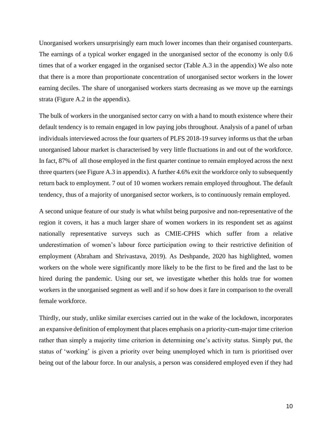Unorganised workers unsurprisingly earn much lower incomes than their organised counterparts. The earnings of a typical worker engaged in the unorganised sector of the economy is only 0.6 times that of a worker engaged in the organised sector (Table A.3 in the appendix) We also note that there is a more than proportionate concentration of unorganised sector workers in the lower earning deciles. The share of unorganised workers starts decreasing as we move up the earnings strata (Figure A.2 in the appendix).

The bulk of workers in the unorganised sector carry on with a hand to mouth existence where their default tendency is to remain engaged in low paying jobs throughout. Analysis of a panel of urban individuals interviewed across the four quarters of PLFS 2018-19 survey informs us that the urban unorganised labour market is characterised by very little fluctuations in and out of the workforce. In fact, 87% of all those employed in the first quarter continue to remain employed across the next three quarters (see Figure A.3 in appendix). A further 4.6% exit the workforce only to subsequently return back to employment. 7 out of 10 women workers remain employed throughout. The default tendency, thus of a majority of unorganised sector workers, is to continuously remain employed.

A second unique feature of our study is what whilst being purposive and non-representative of the region it covers, it has a much larger share of women workers in its respondent set as against nationally representative surveys such as CMIE-CPHS which suffer from a relative underestimation of women's labour force participation owing to their restrictive definition of employment (Abraham and Shrivastava, 2019). As Deshpande, 2020 has highlighted, women workers on the whole were significantly more likely to be the first to be fired and the last to be hired during the pandemic. Using our set, we investigate whether this holds true for women workers in the unorganised segment as well and if so how does it fare in comparison to the overall female workforce.

Thirdly, our study, unlike similar exercises carried out in the wake of the lockdown, incorporates an expansive definition of employment that places emphasis on a priority-cum-major time criterion rather than simply a majority time criterion in determining one's activity status. Simply put, the status of 'working' is given a priority over being unemployed which in turn is prioritised over being out of the labour force. In our analysis, a person was considered employed even if they had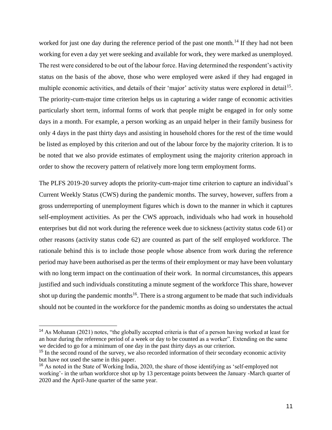worked for just one day during the reference period of the past one month.<sup>14</sup> If they had not been working for even a day yet were seeking and available for work, they were marked as unemployed. The rest were considered to be out of the labour force. Having determined the respondent's activity status on the basis of the above, those who were employed were asked if they had engaged in multiple economic activities, and details of their 'major' activity status were explored in detail<sup>15</sup>. The priority-cum-major time criterion helps us in capturing a wider range of economic activities particularly short term, informal forms of work that people might be engaged in for only some days in a month. For example, a person working as an unpaid helper in their family business for only 4 days in the past thirty days and assisting in household chores for the rest of the time would be listed as employed by this criterion and out of the labour force by the majority criterion. It is to be noted that we also provide estimates of employment using the majority criterion approach in order to show the recovery pattern of relatively more long term employment forms.

The PLFS 2019-20 survey adopts the priority-cum-major time criterion to capture an individual's Current Weekly Status (CWS) during the pandemic months. The survey, however, suffers from a gross underreporting of unemployment figures which is down to the manner in which it captures self-employment activities. As per the CWS approach, individuals who had work in household enterprises but did not work during the reference week due to sickness (activity status code 61) or other reasons (activity status code 62) are counted as part of the self employed workforce. The rationale behind this is to include those people whose absence from work during the reference period may have been authorised as per the terms of their employment or may have been voluntary with no long term impact on the continuation of their work. In normal circumstances, this appears justified and such individuals constituting a minute segment of the workforce This share, however shot up during the pandemic months<sup>16</sup>. There is a strong argument to be made that such individuals should not be counted in the workforce for the pandemic months as doing so understates the actual

<sup>&</sup>lt;sup>14</sup> As Mohanan (2021) notes, "the globally accepted criteria is that of a person having worked at least for an hour during the reference period of a week or day to be counted as a worker". Extending on the same we decided to go for a minimum of one day in the past thirty days as our criterion.

<sup>&</sup>lt;sup>15</sup> In the second round of the survey, we also recorded information of their secondary economic activity but have not used the same in this paper.

<sup>&</sup>lt;sup>16</sup> As noted in the State of Working India, 2020, the share of those identifying as 'self-employed not working'- in the urban workforce shot up by 13 percentage points between the January -March quarter of 2020 and the April-June quarter of the same year.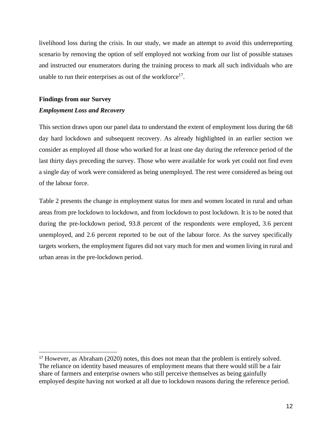livelihood loss during the crisis. In our study, we made an attempt to avoid this underreporting scenario by removing the option of self employed not working from our list of possible statuses and instructed our enumerators during the training process to mark all such individuals who are unable to run their enterprises as out of the workforce<sup>17</sup>.

#### **Findings from our Survey**

#### *Employment Loss and Recovery*

This section draws upon our panel data to understand the extent of employment loss during the 68 day hard lockdown and subsequent recovery. As already highlighted in an earlier section we consider as employed all those who worked for at least one day during the reference period of the last thirty days preceding the survey. Those who were available for work yet could not find even a single day of work were considered as being unemployed. The rest were considered as being out of the labour force.

Table 2 presents the change in employment status for men and women located in rural and urban areas from pre lockdown to lockdown, and from lockdown to post lockdown. It is to be noted that during the pre-lockdown period, 93.8 percent of the respondents were employed, 3.6 percent unemployed, and 2.6 percent reported to be out of the labour force. As the survey specifically targets workers, the employment figures did not vary much for men and women living in rural and urban areas in the pre-lockdown period.

<sup>17</sup> However, as Abraham (2020) notes, this does not mean that the problem is entirely solved. The reliance on identity based measures of employment means that there would still be a fair share of farmers and enterprise owners who still perceive themselves as being gainfully employed despite having not worked at all due to lockdown reasons during the reference period.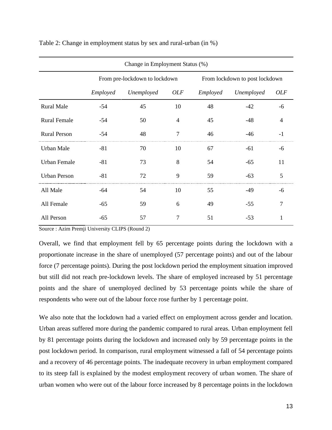| Change in Employment Status (%) |          |                               |            |          |                                |                |  |
|---------------------------------|----------|-------------------------------|------------|----------|--------------------------------|----------------|--|
|                                 |          | From pre-lockdown to lockdown |            |          | From lockdown to post lockdown |                |  |
|                                 | Employed | Unemployed                    | <b>OLF</b> | Employed | Unemployed                     | <i>OLF</i>     |  |
| <b>Rural Male</b>               | $-54$    | 45                            | 10         | 48       | $-42$                          | -6             |  |
| <b>Rural Female</b>             | $-54$    | 50                            | 4          | 45       | -48                            | $\overline{4}$ |  |
| <b>Rural Person</b>             | -54      | 48                            | 7          | 46       | -46                            | $-1$           |  |
| <b>Urban Male</b>               | $-81$    | 70                            | 10         | 67       | -61                            | -6             |  |
| <b>Urban Female</b>             | $-81$    | 73                            | 8          | 54       | $-65$                          | 11             |  |
| <b>Urban Person</b>             | $-81$    | 72                            | 9          | 59       | $-63$                          | 5              |  |
| All Male                        | $-64$    | 54                            | 10         | 55       | $-49$                          | -6             |  |
| All Female                      | $-65$    | 59                            | 6          | 49       | $-55$                          | 7              |  |
| All Person                      | $-65$    | 57                            | 7          | 51       | $-53$                          |                |  |

Table 2: Change in employment status by sex and rural-urban (in %)

Source : Azim Premji University CLIPS (Round 2)

Overall, we find that employment fell by 65 percentage points during the lockdown with a proportionate increase in the share of unemployed (57 percentage points) and out of the labour force (7 percentage points). During the post lockdown period the employment situation improved but still did not reach pre-lockdown levels. The share of employed increased by 51 percentage points and the share of unemployed declined by 53 percentage points while the share of respondents who were out of the labour force rose further by 1 percentage point.

We also note that the lockdown had a varied effect on employment across gender and location. Urban areas suffered more during the pandemic compared to rural areas. Urban employment fell by 81 percentage points during the lockdown and increased only by 59 percentage points in the post lockdown period. In comparison, rural employment witnessed a fall of 54 percentage points and a recovery of 46 percentage points. The inadequate recovery in urban employment compared to its steep fall is explained by the modest employment recovery of urban women. The share of urban women who were out of the labour force increased by 8 percentage points in the lockdown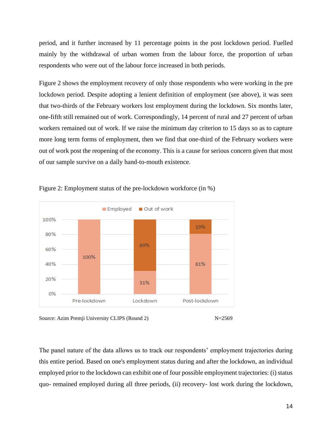period, and it further increased by 11 percentage points in the post lockdown period. Fuelled mainly by the withdrawal of urban women from the labour force, the proportion of urban respondents who were out of the labour force increased in both periods.

Figure 2 shows the employment recovery of only those respondents who were working in the pre lockdown period. Despite adopting a lenient definition of employment (see above), it was seen that two-thirds of the February workers lost employment during the lockdown. Six months later, one-fifth still remained out of work. Correspondingly, 14 percent of rural and 27 percent of urban workers remained out of work. If we raise the minimum day criterion to 15 days so as to capture more long term forms of employment, then we find that one-third of the February workers were out of work post the reopening of the economy. This is a cause for serious concern given that most of our sample survive on a daily hand-to-mouth existence.







The panel nature of the data allows us to track our respondents' employment trajectories during this entire period. Based on one's employment status during and after the lockdown, an individual employed prior to the lockdown can exhibit one of four possible employment trajectories: (i) status quo- remained employed during all three periods, (ii) recovery- lost work during the lockdown,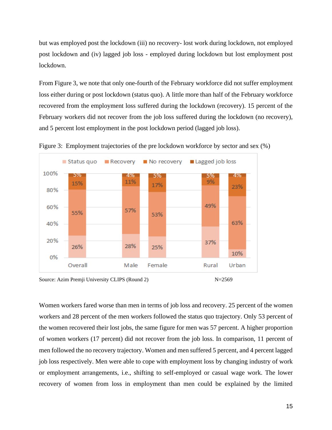but was employed post the lockdown (iii) no recovery- lost work during lockdown, not employed post lockdown and (iv) lagged job loss - employed during lockdown but lost employment post lockdown.

From Figure 3, we note that only one-fourth of the February workforce did not suffer employment loss either during or post lockdown (status quo). A little more than half of the February workforce recovered from the employment loss suffered during the lockdown (recovery). 15 percent of the February workers did not recover from the job loss suffered during the lockdown (no recovery), and 5 percent lost employment in the post lockdown period (lagged job loss).



Figure 3: Employment trajectories of the pre lockdown workforce by sector and sex (%)

Source: Azim Premji University CLIPS (Round 2) N=2569

Women workers fared worse than men in terms of job loss and recovery. 25 percent of the women workers and 28 percent of the men workers followed the status quo trajectory. Only 53 percent of the women recovered their lost jobs, the same figure for men was 57 percent. A higher proportion of women workers (17 percent) did not recover from the job loss. In comparison, 11 percent of men followed the no recovery trajectory. Women and men suffered 5 percent, and 4 percent lagged job loss respectively. Men were able to cope with employment loss by changing industry of work or employment arrangements, i.e., shifting to self-employed or casual wage work. The lower recovery of women from loss in employment than men could be explained by the limited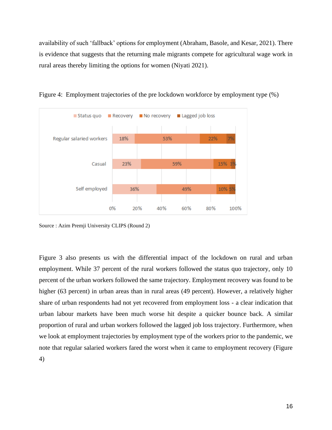availability of such 'fallback' options for employment (Abraham, Basole, and Kesar, 2021). There is evidence that suggests that the returning male migrants compete for agricultural wage work in rural areas thereby limiting the options for women (Niyati 2021).



Figure 4: Employment trajectories of the pre lockdown workforce by employment type (%)

Source : Azim Premji University CLIPS (Round 2)

Figure 3 also presents us with the differential impact of the lockdown on rural and urban employment. While 37 percent of the rural workers followed the status quo trajectory, only 10 percent of the urban workers followed the same trajectory. Employment recovery was found to be higher (63 percent) in urban areas than in rural areas (49 percent). However, a relatively higher share of urban respondents had not yet recovered from employment loss - a clear indication that urban labour markets have been much worse hit despite a quicker bounce back. A similar proportion of rural and urban workers followed the lagged job loss trajectory. Furthermore, when we look at employment trajectories by employment type of the workers prior to the pandemic, we note that regular salaried workers fared the worst when it came to employment recovery (Figure 4)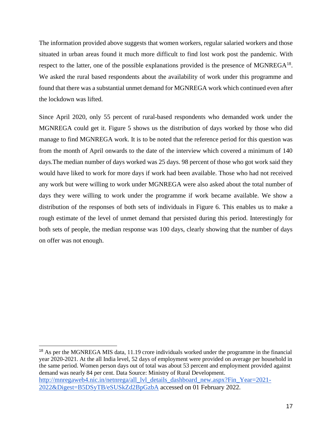The information provided above suggests that women workers, regular salaried workers and those situated in urban areas found it much more difficult to find lost work post the pandemic. With respect to the latter, one of the possible explanations provided is the presence of MGNREGA $^{18}$ . We asked the rural based respondents about the availability of work under this programme and found that there was a substantial unmet demand for MGNREGA work which continued even after the lockdown was lifted.

Since April 2020, only 55 percent of rural-based respondents who demanded work under the MGNREGA could get it. Figure 5 shows us the distribution of days worked by those who did manage to find MGNREGA work. It is to be noted that the reference period for this question was from the month of April onwards to the date of the interview which covered a minimum of 140 days.The median number of days worked was 25 days. 98 percent of those who got work said they would have liked to work for more days if work had been available. Those who had not received any work but were willing to work under MGNREGA were also asked about the total number of days they were willing to work under the programme if work became available. We show a distribution of the responses of both sets of individuals in Figure 6. This enables us to make a rough estimate of the level of unmet demand that persisted during this period. Interestingly for both sets of people, the median response was 100 days, clearly showing that the number of days on offer was not enough.

<sup>&</sup>lt;sup>18</sup> As per the MGNREGA MIS data, 11.19 crore individuals worked under the programme in the financial year 2020-2021. At the all India level, 52 days of employment were provided on average per household in the same period. Women person days out of total was about 53 percent and employment provided against demand was nearly 84 per cent. Data Source: Ministry of Rural Development. [http://mnregaweb4.nic.in/netnrega/all\\_lvl\\_details\\_dashboard\\_new.aspx?Fin\\_Year=2021-](http://mnregaweb4.nic.in/netnrega/all_lvl_details_dashboard_new.aspx?Fin_Year=2021-2022&Digest=B5DSyTB/eSUSkZd2BpGzbA) [2022&Digest=B5DSyTB/eSUSkZd2BpGzbA](http://mnregaweb4.nic.in/netnrega/all_lvl_details_dashboard_new.aspx?Fin_Year=2021-2022&Digest=B5DSyTB/eSUSkZd2BpGzbA) accessed on 01 February 2022.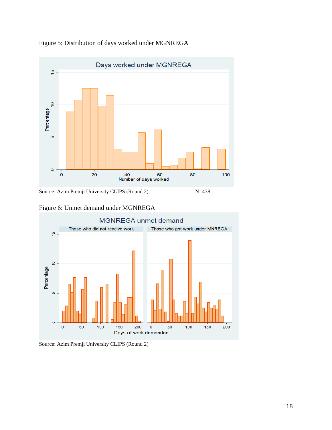

Figure 5: Distribution of days worked under MGNREGA



Figure 6: Unmet demand under MGNREGA



Source: Azim Premji University CLIPS (Round 2)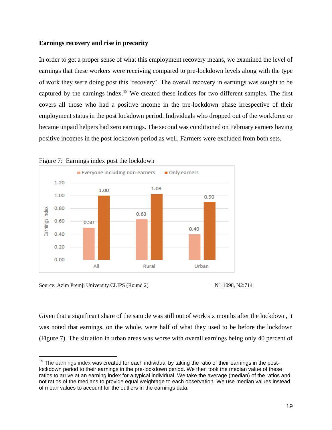#### **Earnings recovery and rise in precarity**

In order to get a proper sense of what this employment recovery means, we examined the level of earnings that these workers were receiving compared to pre-lockdown levels along with the type of work they were doing post this 'recovery'. The overall recovery in earnings was sought to be captured by the earnings index.<sup>19</sup> We created these indices for two different samples. The first covers all those who had a positive income in the pre-lockdown phase irrespective of their employment status in the post lockdown period. Individuals who dropped out of the workforce or became unpaid helpers had zero earnings. The second was conditioned on February earners having positive incomes in the post lockdown period as well. Farmers were excluded from both sets.



Figure 7: Earnings index post the lockdown

Source: Azim Premji University CLIPS (Round 2) N1:1098, N2:714



Given that a significant share of the sample was still out of work six months after the lockdown, it was noted that earnings, on the whole, were half of what they used to be before the lockdown (Figure 7). The situation in urban areas was worse with overall earnings being only 40 percent of

<sup>&</sup>lt;sup>19</sup> The earnings index was created for each individual by taking the ratio of their earnings in the postlockdown period to their earnings in the pre-lockdown period. We then took the median value of these ratios to arrive at an earning index for a typical individual. We take the average (median) of the ratios and not ratios of the medians to provide equal weightage to each observation. We use median values instead of mean values to account for the outliers in the earnings data.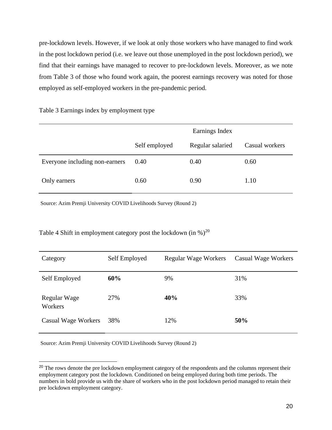pre-lockdown levels. However, if we look at only those workers who have managed to find work in the post lockdown period (i.e. we leave out those unemployed in the post lockdown period), we find that their earnings have managed to recover to pre-lockdown levels. Moreover, as we note from Table 3 of those who found work again, the poorest earnings recovery was noted for those employed as self-employed workers in the pre-pandemic period.

Table 3 Earnings index by employment type

|                                |               | Earnings Index   |                |
|--------------------------------|---------------|------------------|----------------|
|                                | Self employed | Regular salaried | Casual workers |
| Everyone including non-earners | 0.40          | 0.40             | 0.60           |
| Only earners                   | 0.60          | 0.90             | 1.10           |

Source: Azim Premji University COVID Livelihoods Survey (Round 2)

Table 4 Shift in employment category post the lockdown (in  $\%$ )<sup>20</sup>

| Category                | Self Employed | <b>Regular Wage Workers</b> | Casual Wage Workers |
|-------------------------|---------------|-----------------------------|---------------------|
| Self Employed           | 60%           | 9%                          | 31%                 |
| Regular Wage<br>Workers | 27%           | 40%                         | 33%                 |
| Casual Wage Workers     | 38%           | 12%                         | 50%                 |

Source: Azim Premji University COVID Livelihoods Survey (Round 2)

<sup>&</sup>lt;sup>20</sup> The rows denote the pre lockdown employment category of the respondents and the columns represent their employment category post the lockdown. Conditioned on being employed during both time periods. The numbers in bold provide us with the share of workers who in the post lockdown period managed to retain their pre lockdown employment category.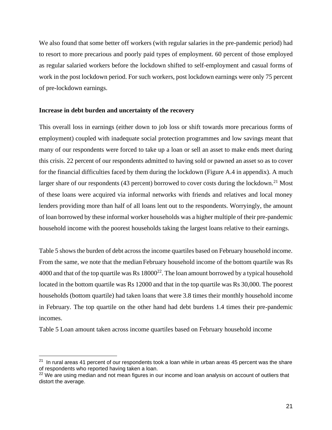We also found that some better off workers (with regular salaries in the pre-pandemic period) had to resort to more precarious and poorly paid types of employment. 60 percent of those employed as regular salaried workers before the lockdown shifted to self-employment and casual forms of work in the post lockdown period. For such workers, post lockdown earnings were only 75 percent of pre-lockdown earnings.

#### **Increase in debt burden and uncertainty of the recovery**

This overall loss in earnings (either down to job loss or shift towards more precarious forms of employment) coupled with inadequate social protection programmes and low savings meant that many of our respondents were forced to take up a loan or sell an asset to make ends meet during this crisis. 22 percent of our respondents admitted to having sold or pawned an asset so as to cover for the financial difficulties faced by them during the lockdown (Figure A.4 in appendix). A much larger share of our respondents (43 percent) borrowed to cover costs during the lockdown.<sup>21</sup> Most of these loans were acquired via informal networks with friends and relatives and local money lenders providing more than half of all loans lent out to the respondents. Worryingly, the amount of loan borrowed by these informal worker households was a higher multiple of their pre-pandemic household income with the poorest households taking the largest loans relative to their earnings.

Table 5 shows the burden of debt across the income quartiles based on February household income. From the same, we note that the median February household income of the bottom quartile was Rs 4000 and that of the top quartile was Rs  $18000^{22}$ . The loan amount borrowed by a typical household located in the bottom quartile was Rs 12000 and that in the top quartile was Rs 30,000. The poorest households (bottom quartile) had taken loans that were 3.8 times their monthly household income in February*.* The top quartile on the other hand had debt burdens 1.4 times their pre-pandemic incomes.

Table 5 Loan amount taken across income quartiles based on February household income

 $21$  In rural areas 41 percent of our respondents took a loan while in urban areas 45 percent was the share of respondents who reported having taken a loan.

<sup>&</sup>lt;sup>22</sup> We are using median and not mean figures in our income and loan analysis on account of outliers that distort the average.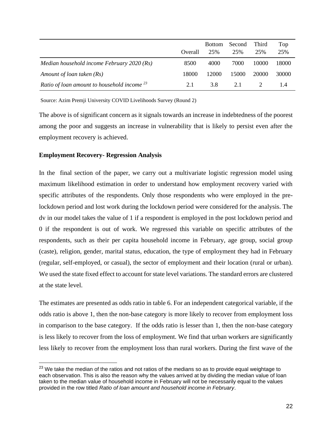|                                                  | Overall | <b>Bottom</b><br>25% | Second<br>25% | Third<br>25% | Top<br>25% |
|--------------------------------------------------|---------|----------------------|---------------|--------------|------------|
| Median household income February 2020 ( $Rs$ )   | 8500    | 4000                 | 7000          | 10000        | 18000      |
| Amount of loan taken (Rs)                        | 18000   | 12000                | 15000         | 20000        | 30000      |
| Ratio of loan amount to household income $^{23}$ | 2.1     | 3.8                  | 2.1           |              |            |

Source: Azim Premji University COVID Livelihoods Survey (Round 2)

The above is of significant concern as it signals towards an increase in indebtedness of the poorest among the poor and suggests an increase in vulnerability that is likely to persist even after the employment recovery is achieved.

#### **Employment Recovery- Regression Analysis**

In the final section of the paper, we carry out a multivariate logistic regression model using maximum likelihood estimation in order to understand how employment recovery varied with specific attributes of the respondents. Only those respondents who were employed in the prelockdown period and lost work during the lockdown period were considered for the analysis. The dv in our model takes the value of 1 if a respondent is employed in the post lockdown period and 0 if the respondent is out of work. We regressed this variable on specific attributes of the respondents, such as their per capita household income in February, age group, social group (caste), religion, gender, marital status, education, the type of employment they had in February (regular, self-employed, or casual), the sector of employment and their location (rural or urban). We used the state fixed effect to account for state level variations. The standard errors are clustered at the state level.

The estimates are presented as odds ratio in table 6. For an independent categorical variable, if the odds ratio is above 1, then the non-base category is more likely to recover from employment loss in comparison to the base category. If the odds ratio is lesser than 1, then the non-base category is less likely to recover from the loss of employment. We find that urban workers are significantly less likely to recover from the employment loss than rural workers. During the first wave of the

 $23$  We take the median of the ratios and not ratios of the medians so as to provide equal weightage to each observation. This is also the reason why the values arrived at by dividing the median value of loan taken to the median value of household income in February will not be necessarily equal to the values provided in the row titled *Ratio of loan amount and household income in February*.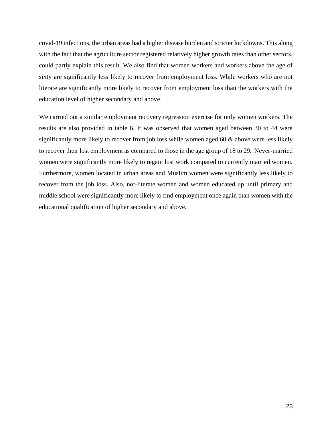covid-19 infections, the urban areas had a higher disease burden and stricter lockdowns. This along with the fact that the agriculture sector registered relatively higher growth rates than other sectors, could partly explain this result. We also find that women workers and workers above the age of sixty are significantly less likely to recover from employment loss. While workers who are not literate are significantly more likely to recover from employment loss than the workers with the education level of higher secondary and above.

We carried out a similar employment recovery regression exercise for only women workers. The results are also provided in table 6, It was observed that women aged between 30 to 44 were significantly more likely to recover from job loss while women aged 60 & above were less likely to recover their lost employment as compared to those in the age group of 18 to 29. Never-married women were significantly more likely to regain lost work compared to currently married women. Furthermore, women located in urban areas and Muslim women were significantly less likely to recover from the job loss. Also, not-literate women and women educated up until primary and middle school were significantly more likely to find employment once again than women with the educational qualification of higher secondary and above.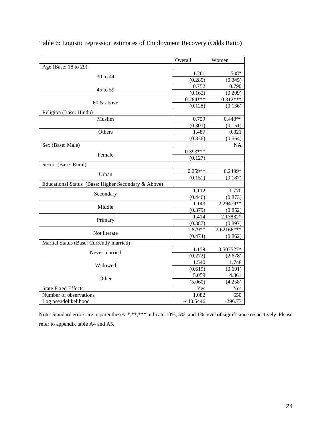|                                                     | Overall     | Women                 |
|-----------------------------------------------------|-------------|-----------------------|
| Age (Base: 18 to 29)                                |             |                       |
| 30 to 44                                            | 1.201       | 1.508*                |
|                                                     | (0.285)     | (0.345)               |
| 45 to 59                                            | 0.752       | 0.790                 |
|                                                     | (0.162)     | (0.209)               |
| 60 & above                                          | $0.284***$  | $0.3\overline{12***}$ |
|                                                     | (0.128)     | (0.136)               |
| Religion (Base: Hindu)                              |             |                       |
| Muslim                                              | 0.759       | $0.448**$             |
|                                                     | (0.301)     | (0.151)               |
| Others                                              | 1.487       | 0.821                 |
|                                                     | (0.826)     | (0.564)               |
| Sex (Base: Male)                                    |             | <b>NA</b>             |
| Female                                              | 0.393***    |                       |
|                                                     | (0.127)     |                       |
| Sector (Base: Rural)                                |             |                       |
| Urban                                               | $0.259**$   | 0.2499*               |
|                                                     | (0.151)     | (0.187)               |
| Educational Status (Base: Higher Secondary & Above) |             |                       |
| Secondary                                           | 1.112       | 1.770                 |
|                                                     | (0.446)     | (0.873)               |
| Middle                                              | 1.143       | 2.29479**             |
|                                                     | (0.379)     | (0.852)               |
| Primary                                             | 1.414       | 2.13832*              |
|                                                     | (0.387)     | (0.897)               |
| Not literate                                        | $1.879**$   | 2.62166***            |
|                                                     | (0.474)     | (0.862)               |
| Marital Status (Base: Currently married)            |             |                       |
| Never married                                       | 1.159       | 3.507527*             |
|                                                     | (0.272)     | (2.678)               |
| Widowed                                             | 1.540       | 1.748                 |
|                                                     | (0.619)     | (0.601)               |
| Other                                               | 5.059       | 4.361                 |
|                                                     | (5.060)     | (4.258)               |
| <b>State Fixed Effects</b>                          | Yes         | Yes                   |
| Number of observations                              | 1,082       | 650                   |
| Log pseudolikelihood                                | $-440.5446$ | $-296.73$             |

Table 6: Logistic regression estimates of Employment Recovery (Odds Ratio**)**

Note: Standard errors are in parentheses. \*,\*\*,\*\*\* indicate 10%, 5%, and 1% level of significance respectively. Please refer to appendix table A4 and A5.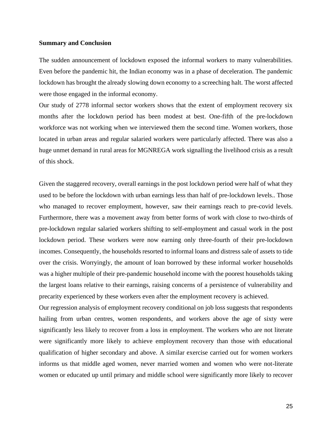#### **Summary and Conclusion**

The sudden announcement of lockdown exposed the informal workers to many vulnerabilities. Even before the pandemic hit, the Indian economy was in a phase of deceleration. The pandemic lockdown has brought the already slowing down economy to a screeching halt. The worst affected were those engaged in the informal economy.

Our study of 2778 informal sector workers shows that the extent of employment recovery six months after the lockdown period has been modest at best. One-fifth of the pre-lockdown workforce was not working when we interviewed them the second time. Women workers, those located in urban areas and regular salaried workers were particularly affected. There was also a huge unmet demand in rural areas for MGNREGA work signalling the livelihood crisis as a result of this shock.

Given the staggered recovery, overall earnings in the post lockdown period were half of what they used to be before the lockdown with urban earnings less than half of pre-lockdown levels.. Those who managed to recover employment, however, saw their earnings reach to pre-covid levels. Furthermore, there was a movement away from better forms of work with close to two-thirds of pre-lockdown regular salaried workers shifting to self-employment and casual work in the post lockdown period. These workers were now earning only three-fourth of their pre-lockdown incomes. Consequently, the households resorted to informal loans and distress sale of assets to tide over the crisis. Worryingly, the amount of loan borrowed by these informal worker households was a higher multiple of their pre-pandemic household income with the poorest households taking the largest loans relative to their earnings, raising concerns of a persistence of vulnerability and precarity experienced by these workers even after the employment recovery is achieved.

Our regression analysis of employment recovery conditional on job loss suggests that respondents hailing from urban centres, women respondents, and workers above the age of sixty were significantly less likely to recover from a loss in employment. The workers who are not literate were significantly more likely to achieve employment recovery than those with educational qualification of higher secondary and above. A similar exercise carried out for women workers informs us that middle aged women, never married women and women who were not-literate women or educated up until primary and middle school were significantly more likely to recover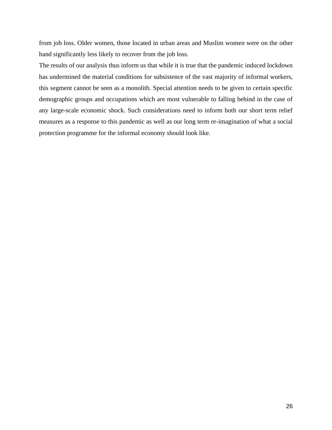from job loss. Older women, those located in urban areas and Muslim women were on the other hand significantly less likely to recover from the job loss.

The results of our analysis thus inform us that while it is true that the pandemic induced lockdown has undermined the material conditions for subsistence of the vast majority of informal workers, this segment cannot be seen as a monolith. Special attention needs to be given to certain specific demographic groups and occupations which are most vulnerable to falling behind in the case of any large-scale economic shock. Such considerations need to inform both our short term relief measures as a response to this pandemic as well as our long term re-imagination of what a social protection programme for the informal economy should look like.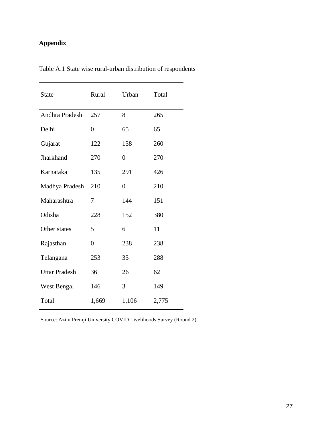# **Appendix**

| <b>State</b>         | Rural          | Urban          | Total |
|----------------------|----------------|----------------|-------|
| Andhra Pradesh       | 257            | 8              | 265   |
| Delhi                | $\overline{0}$ | 65             | 65    |
| Gujarat              | 122            | 138            | 260   |
| Jharkhand            | 270            | $\overline{0}$ | 270   |
| Karnataka            | 135            | 291            | 426   |
| Madhya Pradesh       | 210            | $\overline{0}$ | 210   |
| Maharashtra          | 7              | 144            | 151   |
| Odisha               | 228            | 152            | 380   |
| Other states         | 5              | 6              | 11    |
| Rajasthan            | $\overline{0}$ | 238            | 238   |
| Telangana            | 253            | 35             | 288   |
| <b>Uttar Pradesh</b> | 36             | 26             | 62    |
| <b>West Bengal</b>   | 146            | 3              | 149   |
| Total                | 1,669          | 1,106          | 2,775 |

Table A.1 State wise rural-urban distribution of respondents

Source: Azim Premji University COVID Livelihoods Survey (Round 2)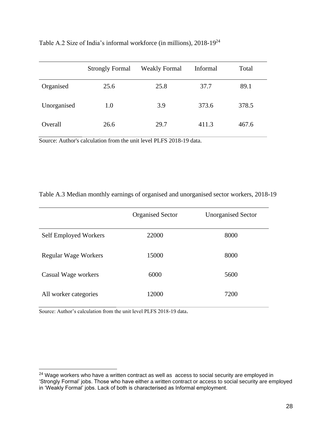|             | <b>Strongly Formal</b> | <b>Weakly Formal</b> | Informal | Total |
|-------------|------------------------|----------------------|----------|-------|
| Organised   | 25.6                   | 25.8                 | 37.7     | 89.1  |
| Unorganised | 1.0                    | 3.9                  | 373.6    | 378.5 |
| Overall     | 26.6                   | 29.7                 | 411.3    | 467.6 |

Table A.2 Size of India's informal workforce (in millions), 2018-19<sup>24</sup>

Source: Author's calculation from the unit level PLFS 2018-19 data.

#### Table A.3 Median monthly earnings of organised and unorganised sector workers, 2018-19

|                       | <b>Organised Sector</b> | <b>Unorganised Sector</b> |
|-----------------------|-------------------------|---------------------------|
| Self Employed Workers | 22000                   | 8000                      |
| Regular Wage Workers  | 15000                   | 8000                      |
| Casual Wage workers   | 6000                    | 5600                      |
| All worker categories | 12000                   | 7200                      |

Source: Author's calculation from the unit level PLFS 2018-19 data.

 $24$  Wage workers who have a written contract as well as access to social security are employed in 'Strongly Formal' jobs. Those who have either a written contract or access to social security are employed in 'Weakly Formal' jobs. Lack of both is characterised as Informal employment.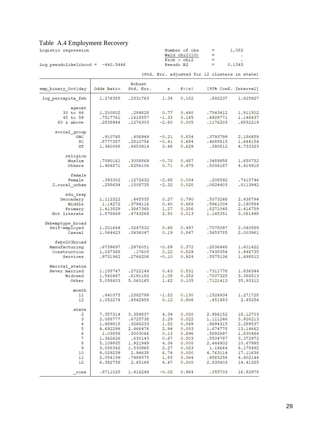### Table A.4 Employment Recovery

| Logistic regression                | Number of obs   | and the state of the state of the | 1,082  |  |
|------------------------------------|-----------------|-----------------------------------|--------|--|
|                                    | Wald $chi2(10)$ | $=$                               |        |  |
|                                    | Prob > chi2     | -                                 |        |  |
| Log pseudolikelihood = $-440.5446$ | Pseudo R2       |                                   | 0.1343 |  |
|                                    |                 |                                   |        |  |

|                                                            |                                                         |                                                        |                                      |                                              | (Std. Err. adjusted for 12 clusters in state)            |                                                          |
|------------------------------------------------------------|---------------------------------------------------------|--------------------------------------------------------|--------------------------------------|----------------------------------------------|----------------------------------------------------------|----------------------------------------------------------|
| emp binary Octlday                                         | Odds Ratio                                              | Robust<br>Std. Err.                                    | $\mathbf{z}$                         | P >  z                                       | [95% Conf. Interval]                                     |                                                          |
| log percapita feb                                          | 1.276385                                                | .2331763                                               | 1.34                                 | 0.182                                        | .892237                                                  | 1.825927                                                 |
| agecat<br>30 to 44<br>45 to 59<br>$60 \& above$            | 1.200802<br>.7517761<br>.2838944                        | .284828<br>.1618557<br>.1276303                        | 0.77<br>$-1.33$<br>$-2.80$           | 0.440<br>0.185<br>0.005                      | .7543412<br>.4929771<br>.1176203                         | 1.911502<br>1.146437<br>.6852219                         |
| social group<br><b>OBC</b><br>SC<br>ST                     | .910768<br>.8777357<br>1,360088                         | .406949<br>.2810756<br>.8653914                        | $-0.21$<br>$-0.41$<br>0.48           | 0.834<br>0.684<br>0.629                      | .3793799<br>.4685815<br>.390812                          | 2.186459<br>1.644154<br>4.733323                         |
| religion<br>Muslim<br>Others                               | .7590161<br>1.486671                                    | .3008869<br>.8256106                                   | $-0.70$<br>0.71                      | 0.487<br>0.475                               | .3489958<br>.5006187                                     | 1.650752<br>4.414918                                     |
| female<br>Female<br>2. rural urban                         | .393302<br>.258634                                      | .1272632<br>.1508735                                   | $-2.88$<br>$-2.32$                   | 0.004<br>0.020                               | .208592<br>.0824403                                      | .7415746<br>.8113942                                     |
| edu resp<br>Secondary<br>Middle<br>Primary<br>Not literate | 1.112322<br>1.14272<br>1.413829<br>1,878669             | .445535<br>.3794116<br>.3867368<br>.4743269            | 0.27<br>0.40<br>1.27<br>2.50         | 0.790<br>0.688<br>0.206<br>0.013             | .5073248<br>.5961004<br>.8271048<br>1.145351             | 2.438794<br>2.190584<br>2.416759<br>3.081498             |
| febemptype broad<br>Self-employed<br>Casual                | 1.201644<br>1.064423                                    | .3247532<br>.3436047                                   | 0.68<br>0.19                         | 0.497<br>0.847                               | .7075097<br>.5653785                                     | 2.040889<br>2.003961                                     |
| febv203broad<br>Manufacturing<br>Construction<br>Services  | .6739697<br>1.037368<br>.9731962                        | .2976051<br>.17605<br>.2766206                         | $-0.89$<br>0.22<br>$-0.10$           | 0.372<br>0.829<br>0.924                      | .2836448<br>.7438354<br>.5575136                         | 1.601422<br>1.446735<br>1.698812                         |
| Marital status<br>Never married<br>Widowed<br>Other        | 1.158747<br>1.540467<br>5.058603                        | .2722144<br>.6191182<br>5.060165                       | 0.63<br>1.08<br>1.62                 | 0.531<br>0.282<br>0.105                      | .7311778<br>.7007325<br>.7121413                         | 1.836344<br>3.386513<br>35.93312                         |
| month<br>11<br>12                                          | .440375<br>1.052274                                     | .2382799<br>.4542958                                   | $-1.52$<br>0.12                      | 0.130<br>0.906                               | .1524934<br>.451483                                      | 1,271728<br>2.45254                                      |
| state<br>2<br>3<br>4<br>5                                  | 7.357314<br>2.088777<br>1.489815<br>4.692299            | 3.384837<br>.6725738<br>.3266233<br>2.466476           | 1.82<br>2.94                         | 4.34 0.000<br>$2.29$ 0.022<br>0.069<br>0.003 | 2.986152<br>1.111246<br>.9694315<br>1.674778<br>.5892697 | 18.12703<br>3.926213<br>2.289537<br>13.14662<br>1.830484 |
| 6<br>7<br>8<br>9<br>10                                     | 1.03858<br>1.362626<br>5.109935<br>3.088342<br>9.029239 | .3003066<br>.630143<br>1.921949<br>1.533968<br>2.94638 | 0.13<br>0.67<br>4.34<br>2.27<br>6.74 | 0.896<br>0.503<br>0.000<br>0.023<br>0.000    | .5504787<br>2.444902<br>1.16664<br>4.763114              | 3.372972<br>10.67995<br>8.175492<br>17.11636             |
| 11<br>12<br>cons                                           | 2.054159<br>6.392759<br>.9711025                        | .7988575<br>2.65168<br>1.416249                        | 1.85<br>4.47<br>$-0.02$              | 0.064<br>0.000<br>0.984                      | .9585258<br>2.835403<br>.055703                          | 4.402144<br>14.41325<br>16.92978                         |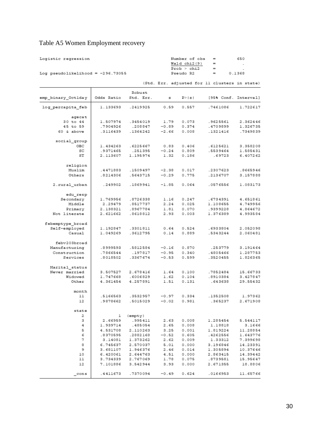# Table A5 Women Employment recovery

| Logistic regression                 |                      |                      |                 | Number of obs  | $\displaystyle \qquad \qquad =\qquad \qquad$  | 650                  |
|-------------------------------------|----------------------|----------------------|-----------------|----------------|-----------------------------------------------|----------------------|
|                                     |                      |                      |                 | Wald chi2(9)   | $=$                                           |                      |
|                                     |                      |                      |                 | Prob > chi2    | $=$<br>$=$                                    |                      |
| Log pseudolikelihood = $-296.73055$ |                      |                      |                 | Pseudo R2      | 0.1368                                        |                      |
|                                     |                      |                      |                 |                | (Std. Err. adjusted for 11 clusters in state) |                      |
|                                     |                      | Robust               |                 |                |                                               |                      |
| emp binary Octlday                  | Odds Ratio           | Std. Err.            | z               | P >  z         | [95% Conf. Interval]                          |                      |
| log percapita feb                   | 1.133693             | .2419925             | 0.59            | 0.557          | .7461086                                      | 1.722617             |
| agecat                              |                      |                      |                 |                |                                               |                      |
| 30 to 44                            | 1.507974             | .3454019             | 1.79            | 0.073          | .9625561                                      | 2.362446             |
| 45 to 59                            | .7904926             | .208847              | $-0.89$         | 0.374          | .4709899                                      | 1.326735             |
| $60$ & above                        | .3116439             | .1364242             | $-2.66$         | 0.008          | .1321416                                      | .7349839             |
| social group                        |                      |                      |                 |                |                                               |                      |
| OBC                                 | 1.434263             | .6225667             | 0.83            | 0.406          | .6125621                                      | 3.358208             |
| SC                                  | .9371465             | .251395              | $-0.24$         | 0.809          | .5539464                                      | 1.585431             |
| ST                                  | 2.113607             | 1.195974             | 1.32            | 0.186          | .69723                                        | 6.407262             |
| religion                            |                      |                      |                 |                |                                               |                      |
| Muslim                              | .4471883             | .1509497             | $-2.38$         | 0.017          | .2307623                                      | .8665946             |
| Others                              | .8214306             | .5643715             | $-0.29$         | 0.775          | .2136707                                      | 3.157888             |
| 2.rural urban                       | .249902              | .1869941             | $-1.85$         | 0.064          | .0576556                                      | 1.083173             |
| edu resp                            |                      |                      |                 |                |                                               |                      |
| Secondary                           | 1.769956             | .8726338             | 1.16            | 0.247          | .6734391                                      | 4.651861             |
| Middle                              | 2.29479              | .8517737             | 2.24            | 0.025          | 1.108655                                      | 4.749956             |
| Primary                             | 2.138321             | .8967784             | 1.81            | 0.070          | .9399228                                      | 4.864672             |
| Not literate                        | 2.621662             | .8618812             | 2.93            | 0.003          | 1.376389                                      | 4.993584             |
| febemptype broad                    |                      |                      |                 |                |                                               |                      |
| Self-employed                       | 1.192847             | .3301811             | 0.64            | 0.524          | .6933804                                      | 2.052098             |
| Casual                              | 1.049269             | .3612795             | 0.14            | 0.889          | .5343244                                      | 2.060481             |
|                                     |                      |                      |                 |                |                                               |                      |
| febv203broad<br>Manufacturing       | .8999593             | .5812584             | $-0.16$         | 0.870          | .253779                                       | 3.191464             |
| Construction                        | .7866544             | .197817              | $-0.95$         | 0.340          | .4805466                                      | 1.287753             |
| Services                            | .8018502             | .3367674             | $-0.53$         | 0.599          | .3520455                                      | 1.826365             |
|                                     |                      |                      |                 |                |                                               |                      |
| Marital status                      |                      |                      |                 |                |                                               |                      |
| Never married                       | 3.507527             | 2.678416             | 1.64            | 0.100          | .7852484<br>.8910384                          | 15.66733             |
| Widowed<br>Other                    | 1.747668<br>4.361454 | .6006829<br>4.257891 | 1.62<br>1.51    | 0.104<br>0.131 | .643638                                       | 3.427847<br>29.55432 |
|                                     |                      |                      |                 |                |                                               |                      |
| month                               |                      |                      |                 |                |                                               |                      |
| 11                                  | .5166563             | .3532957             | $-0.97$         | 0.334          | .1352508                                      | 1.97362              |
| 12                                  | .9878662             | .5015029             | $-0.02$         | 0.981          | .365237                                       | 2.671908             |
| state                               |                      |                      |                 |                |                                               |                      |
| 2                                   | ı                    | (empty)              |                 |                |                                               |                      |
| з                                   | 2.66959              | .995411              | 2.63            | 0.008          | 1.285454                                      | 5.544117             |
| 4                                   | 1.939714             | .485054              | 2.65            | 0.008          | 1.18818                                       | 3.1666               |
| 5<br>6                              | 4.531708             | 2.110263             | 3.25            | 0.001          | 1.819224                                      | 11.28854             |
| 7                                   | .8370595<br>3.14081  | .2882168<br>1.373262 | $-0.52$<br>2.62 | 0.605<br>0.009 | .4262556<br>1.33312                           | 1.643776<br>7.399698 |
| 8                                   | 6.745637             | 2.570037             | 5.01            | 0.000          | 3.196846                                      | 14.23391             |
| 9                                   | 3.681107             | 1.946376             | 2.46            | 0.014          | 1.305894                                      | 10.37646             |
| 10                                  | 6.420061             | 2.644763             | 4.51            | 0.000          | 2.863415                                      | 14.39442             |
| 11                                  | 3.734339             | 2.767069             | 1.78            | 0.075          | .8739581                                      | 15.95647             |
| 12                                  | 7.101886             | 3.542944             | 3.93            | 0.000          | 2.671355                                      | 18.8806              |
|                                     |                      |                      |                 |                |                                               |                      |
| $_{\rm cons}$                       | .4411673             | .7370094             | $-0.49$         | 0.624          | .0166953                                      | 11.65766             |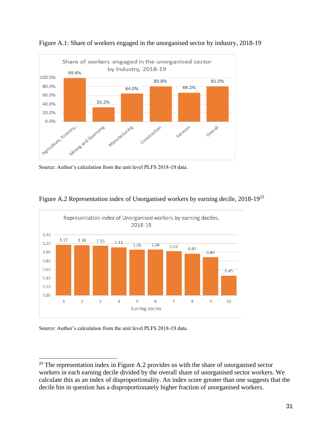

Figure A.1: Share of workers engaged in the unorganised sector by industry, 2018-19





#### Figure A.2 Representation index of Unorganised workers by earning decile, 2018-19<sup>25</sup>

Source: Author's calculation from the unit level PLFS 2018-19 data.

<sup>&</sup>lt;sup>25</sup> The representation index in Figure A.2 provides us with the share of unorganised sector workers in each earning decile divided by the overall share of unorganised sector workers. We calculate this as an index of disproportionality. An index score greater than one suggests that the decile bin in question has a disproportionately higher fraction of unorganised workers.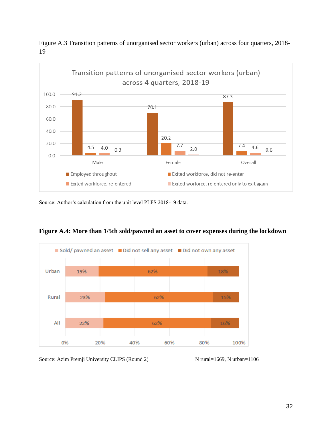

Figure A.3 Transition patterns of unorganised sector workers (urban) across four quarters, 2018- 19

Source: Author's calculation from the unit level PLFS 2018-19 data.



**Figure A.4: More than 1/5th sold/pawned an asset to cover expenses during the lockdown**

Source: Azim Premji University CLIPS (Round 2) N rural=1669, N urban=1106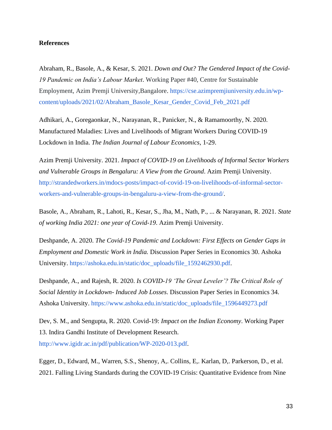#### **References**

[Abraham, R., Basole, A., & Kesar, S. 2021.](https://www.zotero.org/google-docs/?vIGsEc) *[Down and Out? The Gendered Impact of the Covid-](https://www.zotero.org/google-docs/?vIGsEc)[19 Pandemic on India's Labour Market](https://www.zotero.org/google-docs/?vIGsEc)*[. Working Paper #40, Centre for Sustainable](https://www.zotero.org/google-docs/?vIGsEc)  [Employment, Azim Premji University,Bangalore.](https://www.zotero.org/google-docs/?vIGsEc) [https://cse.azimpremjiuniversity.edu.in/wp](https://cse.azimpremjiuniversity.edu.in/wp-content/uploads/2021/02/Abraham_Basole_Kesar_Gender_Covid_Feb_2021.pdf)[content/uploads/2021/02/Abraham\\_Basole\\_Kesar\\_Gender\\_Covid\\_Feb\\_2021.pdf](https://cse.azimpremjiuniversity.edu.in/wp-content/uploads/2021/02/Abraham_Basole_Kesar_Gender_Covid_Feb_2021.pdf)

Adhikari, A., Goregaonkar, N., Narayanan, R., Panicker, N., & Ramamoorthy, N. 2020. Manufactured Maladies: Lives and Livelihoods of Migrant Workers During COVID-19 Lockdown in India. *The Indian Journal of Labour Economics*, 1-29.

Azim Premji University. 2021. *Impact of COVID-19 on Livelihoods of Informal Sector Workers and Vulnerable Groups in Bengaluru: A View from the Ground*. Azim Premji University. [http://strandedworkers.in/mdocs-posts/impact-of-covid-19-on-livelihoods-of-informal-sector](http://strandedworkers.in/mdocs-posts/impact-of-covid-19-on-livelihoods-of-informal-sector-workers-and-vulnerable-groups-in-bengaluru-a-view-from-the-ground/)[workers-and-vulnerable-groups-in-bengaluru-a-view-from-the-ground/.](http://strandedworkers.in/mdocs-posts/impact-of-covid-19-on-livelihoods-of-informal-sector-workers-and-vulnerable-groups-in-bengaluru-a-view-from-the-ground/)

Basole, A., Abraham, R., Lahoti, R., Kesar, S., Jha, M., Nath, P., ... & Narayanan, R. 2021. *State of working India 2021: one year of Covid-19*. Azim Premji University.

Deshpande, A. 2020. *The Covid-19 Pandemic and Lockdown: First Effects on Gender Gaps in Employment and Domestic Work in India.* Discussion Paper Series in Economics 30. Ashoka University[.](https://ashoka.edu.in/static/doc_uploads/file_1592462930.pdf) [https://ashoka.edu.in/static/doc\\_uploads/file\\_1592462930.pdf.](https://ashoka.edu.in/static/doc_uploads/file_1592462930.pdf)

[Deshpande, A., and Rajesh, R. 2020.](https://www.zotero.org/google-docs/?vIGsEc) *[Is COVID-19 'The Great Leveler'? The Critical Role of](https://www.zotero.org/google-docs/?vIGsEc)  [Social Identity in Lockdown-](https://www.zotero.org/google-docs/?vIGsEc) Induced Job Losses*[. Discussion Paper Series in Economics 34.](https://www.zotero.org/google-docs/?vIGsEc)  [Ashoka University.](https://www.zotero.org/google-docs/?vIGsEc) [https://www.ashoka.edu.in/static/doc\\_uploads/file\\_1596449273.pdf](https://www.ashoka.edu.in/static/doc_uploads/file_1596449273.pdf)

[Dev, S. M., and Sengupta, R. 2020. Covid-19:](https://www.zotero.org/google-docs/?vIGsEc) *[Impact on the Indian Economy](https://www.zotero.org/google-docs/?vIGsEc)*[. Working Paper](https://www.zotero.org/google-docs/?vIGsEc)  [13. Indira Gandhi Institute of Development Research.](https://www.zotero.org/google-docs/?vIGsEc)

[http://www.igidr.ac.in/pdf/publication/WP-2020-013.pdf.](http://www.igidr.ac.in/pdf/publication/WP-2020-013.pdf)

[Egger, D., Edward, M., Warren, S.S., Shenoy, A,. Collins, E,. Karlan, D,. Parkerson, D., et al.](https://www.zotero.org/google-docs/?vIGsEc)  [2021. Falling Living Standards during the COVID-19 Crisis: Quantitative Evidence from Nine](https://www.zotero.org/google-docs/?vIGsEc)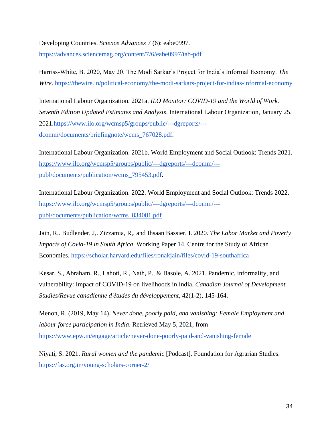[Developing Countries.](https://www.zotero.org/google-docs/?vIGsEc) *[Science Advances](https://www.zotero.org/google-docs/?vIGsEc)* [7 \(6\): eabe0997.](https://www.zotero.org/google-docs/?vIGsEc) <https://advances.sciencemag.org/content/7/6/eabe0997/tab-pdf>

Harriss-White, B. 2020, May 20. The Modi Sarkar's Project for India's Informal Economy. *The Wire*. <https://thewire.in/political-economy/the-modi-sarkars-project-for-indias-informal-economy>

International Labour Organization. 2021a. *ILO Monitor: COVID-19 and the World of Work. Seventh Edition Updated Estimates and Analysis*. International Labour Organization, January 25, 2021[.https://www.ilo.org/wcmsp5/groups/public/---dgreports/--](https://www.ilo.org/wcmsp5/groups/public/---dgreports/---dcomm/documents/briefingnote/wcms_767028.pdf) [dcomm/documents/briefingnote/wcms\\_767028.pdf.](https://www.ilo.org/wcmsp5/groups/public/---dgreports/---dcomm/documents/briefingnote/wcms_767028.pdf)

International Labour Organization. 2021b. World Employment and Social Outlook: Trends 2021. [https://www.ilo.org/wcmsp5/groups/public/---dgreports/---dcomm/--](https://www.ilo.org/wcmsp5/groups/public/---dgreports/---dcomm/---publ/documents/publication/wcms_795453.pdf) [publ/documents/publication/wcms\\_795453.pdf.](https://www.ilo.org/wcmsp5/groups/public/---dgreports/---dcomm/---publ/documents/publication/wcms_795453.pdf)

International Labour Organization. 2022. World Employment and Social Outlook: Trends 2022. [https://www.ilo.org/wcmsp5/groups/public/---dgreports/---dcomm/--](https://www.ilo.org/wcmsp5/groups/public/---dgreports/---dcomm/---publ/documents/publication/wcms_834081.pdf) [publ/documents/publication/wcms\\_834081.pdf](https://www.ilo.org/wcmsp5/groups/public/---dgreports/---dcomm/---publ/documents/publication/wcms_834081.pdf)

[Jain, R,. Budlender, J,. Zizzamia, R,. and Ihsaan Bassier, I. 2020.](https://www.zotero.org/google-docs/?vIGsEc) *[The Labor Market and Poverty](https://www.zotero.org/google-docs/?vIGsEc)  [Impacts of Covid-19 in South Africa](https://www.zotero.org/google-docs/?vIGsEc)*[. Working Paper 14. Centre for the Study of African](https://www.zotero.org/google-docs/?vIGsEc)  [Economies.](https://www.zotero.org/google-docs/?vIGsEc) <https://scholar.harvard.edu/files/ronakjain/files/covid-19-southafrica>

Kesar, S., Abraham, R., Lahoti, R., Nath, P., & Basole, A. 2021. Pandemic, informality, and vulnerability: Impact of COVID-19 on livelihoods in India. *Canadian Journal of Development Studies/Revue canadienne d'études du développement*, 42(1-2), 145-164.

Menon, R. (2019, May 14). *Never done, poorly paid, and vanishing: Female Employment and labour force participation in India*. Retrieved May 5, 2021, from <https://www.epw.in/engage/article/never-done-poorly-paid-and-vanishing-female>

Niyati, S. 2021. *Rural women and the pandemic* [Podcast]. Foundation for Agrarian Studies[.](https://fas.org.in/young-scholars-corner-2/) <https://fas.org.in/young-scholars-corner-2/>